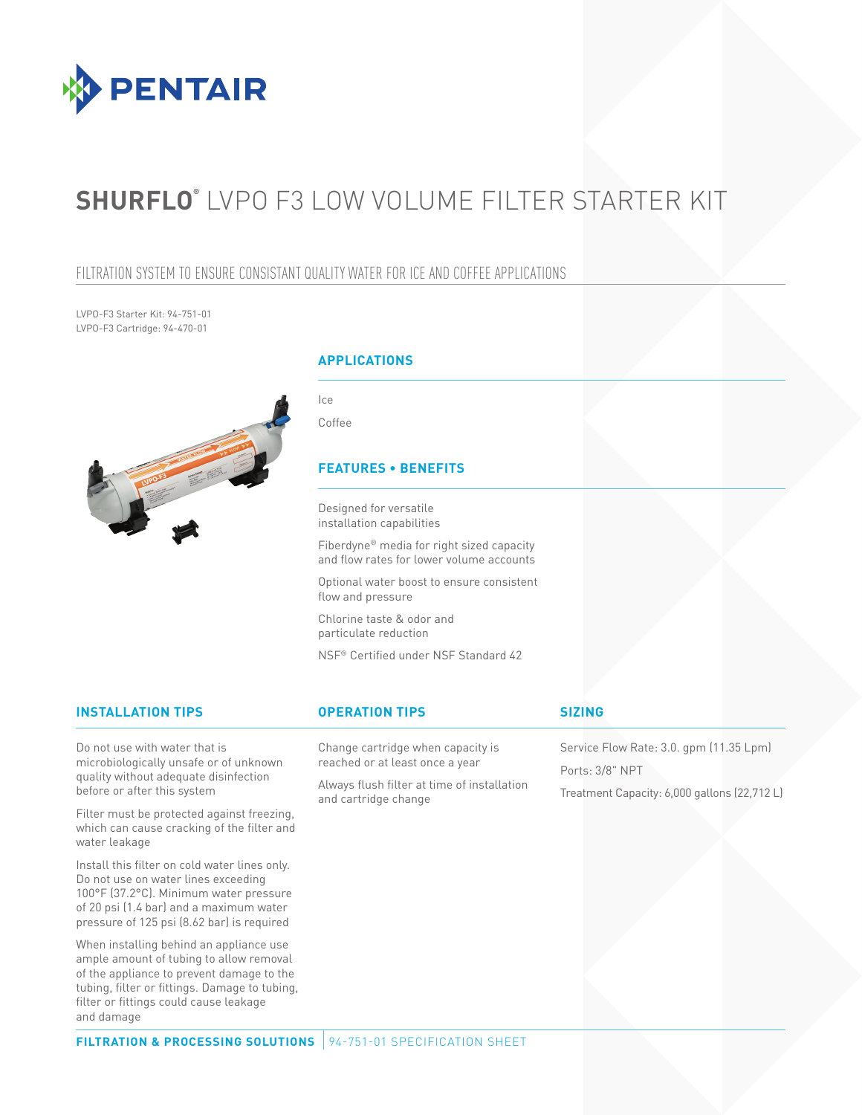

# **SHURFLO®** LVPO F3 LOW VOLUME FILTER STARTER KIT

### FILTRATION SYSTEM TO ENSURE CONSISTANT QUALITY WATER FOR ICE AND COFFEE APPLICATIONS

LVPO-F3 Starter Kit: 94-751-01 LVPO-F3 Cartridge: 94-470-01



#### **APPLICATIONS**

Ice

Coffee

#### **FEATURES • BENEFITS**

Designed for versatile installation capabilities

Fiberdyne® media for right sized capacity and flow rates for lower volume accounts

Optional water boost to ensure consistent flow and pressure

Chlorine taste & odor and particulate reduction

NSF® Certified under NSF Standard 42

#### **INSTALLATION TIPS OPERATION TIPS**

Do not use with water that is microbiologically unsafe or of unknown quality without adequate disinfection before or after this system

Filter must be protected against freezing, which can cause cracking of the filter and water leakage

Install this filter on cold water lines only. Do not use on water lines exceeding 100°F (37.2°C). Minimum water pressure of 20 psi (1.4 bar) and a maximum water pressure of 125 psi (8.62 bar) is required

When installing behind an appliance use ample amount of tubing to allow removal of the appliance to prevent damage to the tubing, filter or fittings. Damage to tubing, filter or fittings could cause leakage and damage

Change cartridge when capacity is reached or at least once a year

Always flush filter at time of installation and cartridge change

#### **SIZING**

Service Flow Rate: 3.0. gpm (11.35 Lpm) Ports: 3/8" NPT Treatment Capacity: 6,000 gallons (22,712 L)